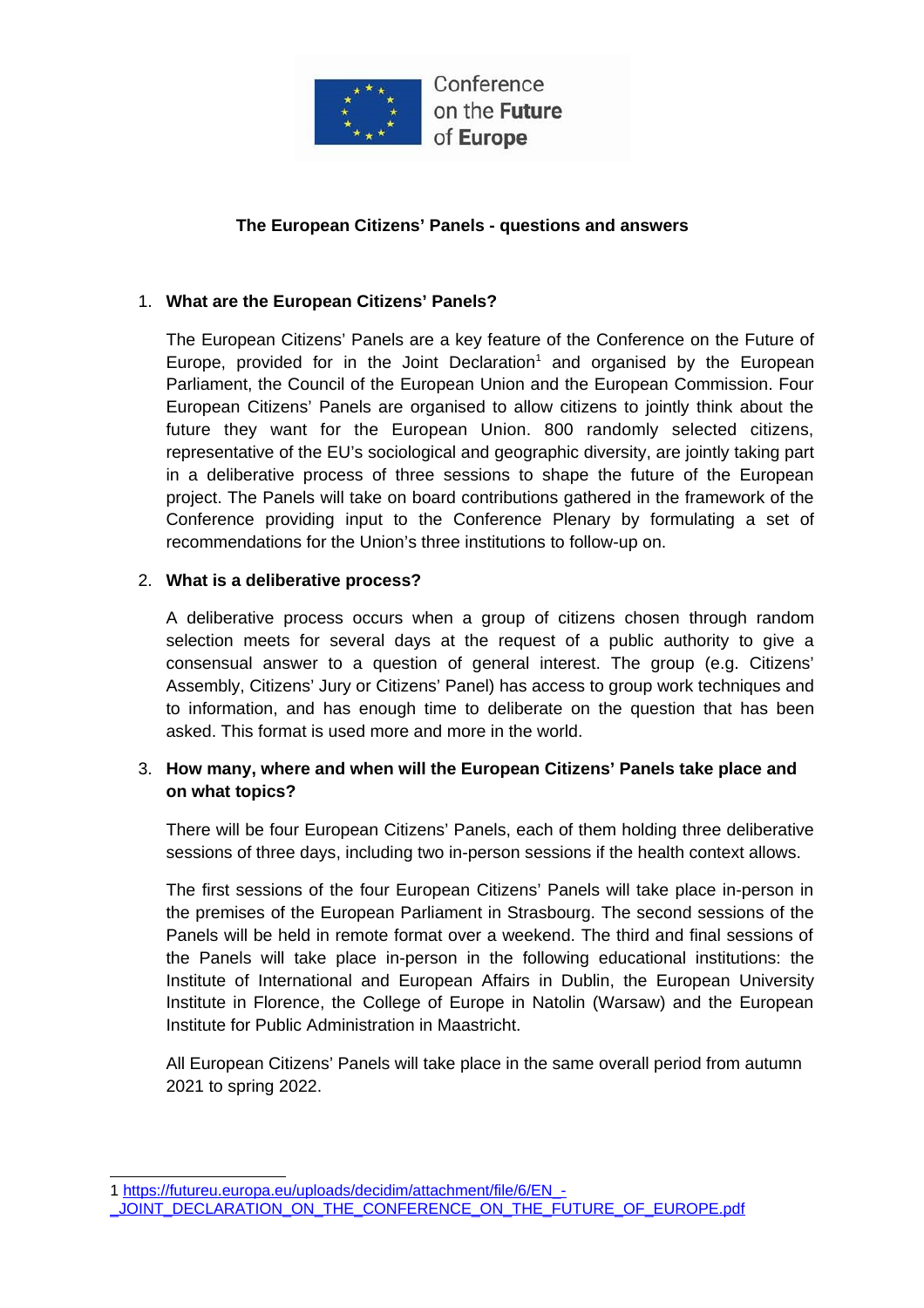

Conference on the Future of **Europe** 

## **The European Citizens' Panels - questions and answers**

## 1. **What are the European Citizens' Panels?**

The European Citizens' Panels are a key feature of the Conference on the Future of Europe, provided for in the Joint Declaration<sup>[1](#page-0-0)</sup> and organised by the European Parliament, the Council of the European Union and the European Commission. Four European Citizens' Panels are organised to allow citizens to jointly think about the future they want for the European Union. 800 randomly selected citizens, representative of the EU's sociological and geographic diversity, are jointly taking part in a deliberative process of three sessions to shape the future of the European project. The Panels will take on board contributions gathered in the framework of the Conference providing input to the Conference Plenary by formulating a set of recommendations for the Union's three institutions to follow-up on.

### 2. **What is a deliberative process?**

A deliberative process occurs when a group of citizens chosen through random selection meets for several days at the request of a public authority to give a consensual answer to a question of general interest. The group (e.g. Citizens' Assembly, Citizens' Jury or Citizens' Panel) has access to group work techniques and to information, and has enough time to deliberate on the question that has been asked. This format is used more and more in the world.

## 3. **How many, where and when will the European Citizens' Panels take place and on what topics?**

There will be four European Citizens' Panels, each of them holding three deliberative sessions of three days, including two in-person sessions if the health context allows.

The first sessions of the four European Citizens' Panels will take place in-person in the premises of the European Parliament in Strasbourg. The second sessions of the Panels will be held in remote format over a weekend. The third and final sessions of the Panels will take place in-person in the following educational institutions: the Institute of International and European Affairs in Dublin, the European University Institute in Florence, the College of Europe in Natolin (Warsaw) and the European Institute for Public Administration in Maastricht.

All European Citizens' Panels will take place in the same overall period from autumn 2021 to spring 2022.

<span id="page-0-0"></span><sup>1</sup> [https://futureu.europa.eu/uploads/decidim/attachment/file/6/EN\\_-](https://futureu.europa.eu/uploads/decidim/attachment/file/6/EN_-_JOINT_DECLARATION_ON_THE_CONFERENCE_ON_THE_FUTURE_OF_EUROPE.pdf) -[\\_JOINT\\_DECLARATION\\_ON\\_THE\\_CONFERENCE\\_ON\\_THE\\_FUTURE\\_OF\\_EUROPE.pdf](https://futureu.europa.eu/uploads/decidim/attachment/file/6/EN_-_JOINT_DECLARATION_ON_THE_CONFERENCE_ON_THE_FUTURE_OF_EUROPE.pdf)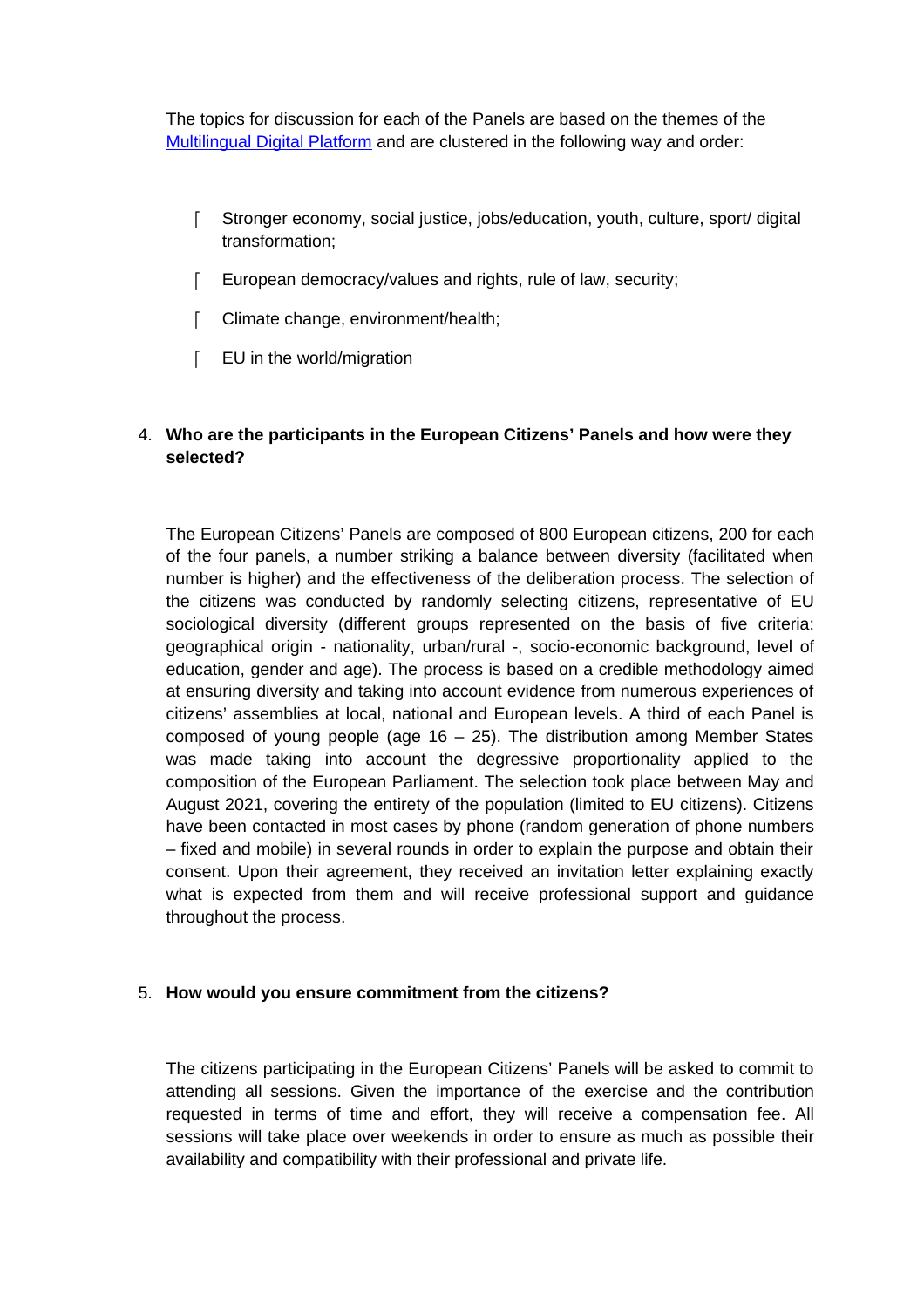The topics for discussion for each of the Panels are based on the themes of the [Multilingual Digital Platform](https://futureu.europa.eu/) and are clustered in the following way and order:

- Stronger economy, social justice, jobs/education, youth, culture, sport/ digital transformation;
- European democracy/values and rights, rule of law, security;
- [ Climate change, environment/health;
- F EU in the world/migration

### 4. **Who are the participants in the European Citizens' Panels and how were they selected?**

The European Citizens' Panels are composed of 800 European citizens, 200 for each of the four panels, a number striking a balance between diversity (facilitated when number is higher) and the effectiveness of the deliberation process. The selection of the citizens was conducted by randomly selecting citizens, representative of EU sociological diversity (different groups represented on the basis of five criteria: geographical origin - nationality, urban/rural -, socio-economic background, level of education, gender and age). The process is based on a credible methodology aimed at ensuring diversity and taking into account evidence from numerous experiences of citizens' assemblies at local, national and European levels. A third of each Panel is composed of young people (age  $16 - 25$ ). The distribution among Member States was made taking into account the degressive proportionality applied to the composition of the European Parliament. The selection took place between May and August 2021, covering the entirety of the population (limited to EU citizens). Citizens have been contacted in most cases by phone (random generation of phone numbers – fixed and mobile) in several rounds in order to explain the purpose and obtain their consent. Upon their agreement, they received an invitation letter explaining exactly what is expected from them and will receive professional support and guidance throughout the process.

### 5. **How would you ensure commitment from the citizens?**

The citizens participating in the European Citizens' Panels will be asked to commit to attending all sessions. Given the importance of the exercise and the contribution requested in terms of time and effort, they will receive a compensation fee. All sessions will take place over weekends in order to ensure as much as possible their availability and compatibility with their professional and private life.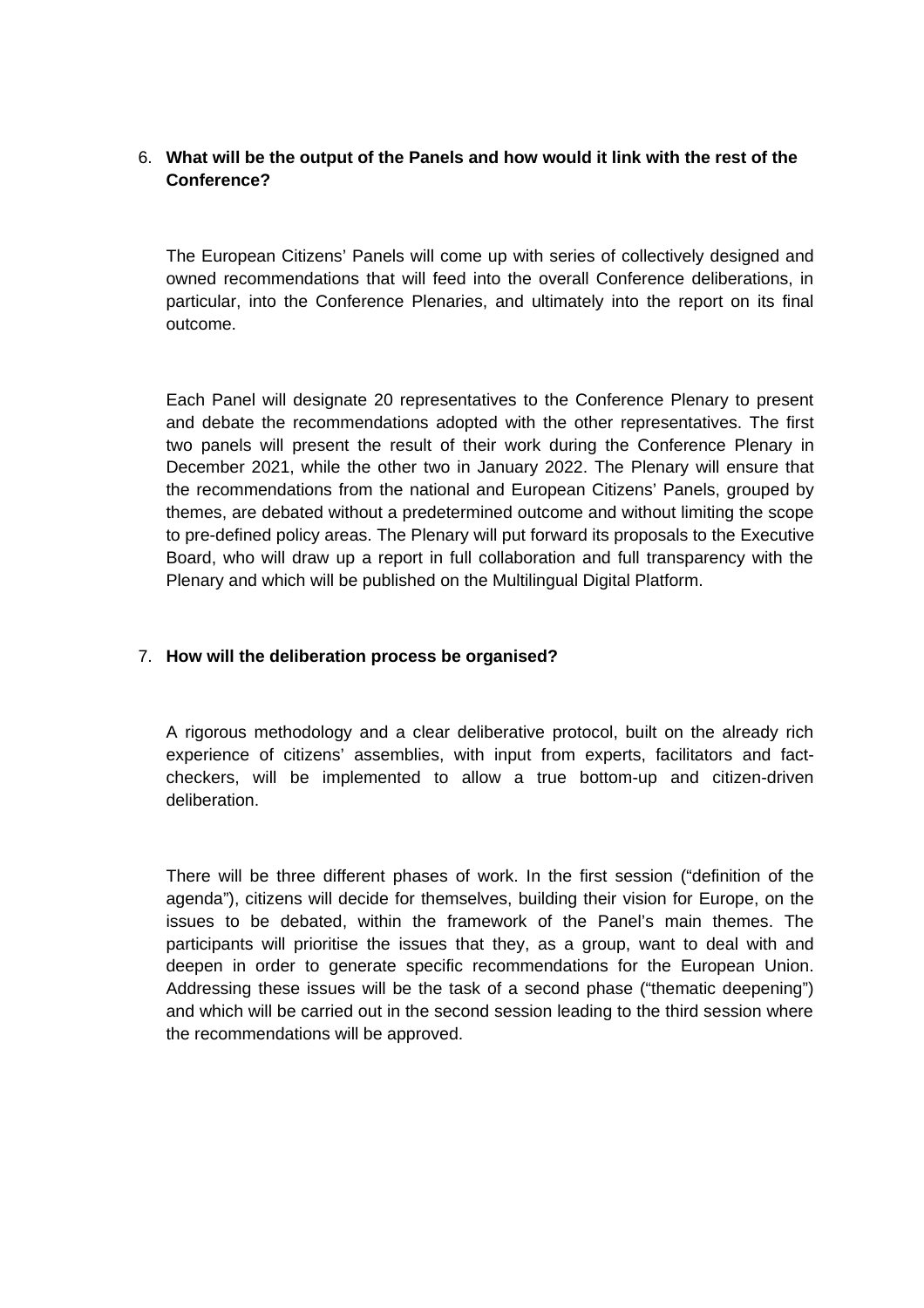# 6. **What will be the output of the Panels and how would it link with the rest of the Conference?**

The European Citizens' Panels will come up with series of collectively designed and owned recommendations that will feed into the overall Conference deliberations, in particular, into the Conference Plenaries, and ultimately into the report on its final outcome.

Each Panel will designate 20 representatives to the Conference Plenary to present and debate the recommendations adopted with the other representatives. The first two panels will present the result of their work during the Conference Plenary in December 2021, while the other two in January 2022. The Plenary will ensure that the recommendations from the national and European Citizens' Panels, grouped by themes, are debated without a predetermined outcome and without limiting the scope to pre-defined policy areas. The Plenary will put forward its proposals to the Executive Board, who will draw up a report in full collaboration and full transparency with the Plenary and which will be published on the Multilingual Digital Platform.

### 7. **How will the deliberation process be organised?**

A rigorous methodology and a clear deliberative protocol, built on the already rich experience of citizens' assemblies, with input from experts, facilitators and factcheckers, will be implemented to allow a true bottom-up and citizen-driven deliberation.

There will be three different phases of work. In the first session ("definition of the agenda"), citizens will decide for themselves, building their vision for Europe, on the issues to be debated, within the framework of the Panel's main themes. The participants will prioritise the issues that they, as a group, want to deal with and deepen in order to generate specific recommendations for the European Union. Addressing these issues will be the task of a second phase ("thematic deepening") and which will be carried out in the second session leading to the third session where the recommendations will be approved.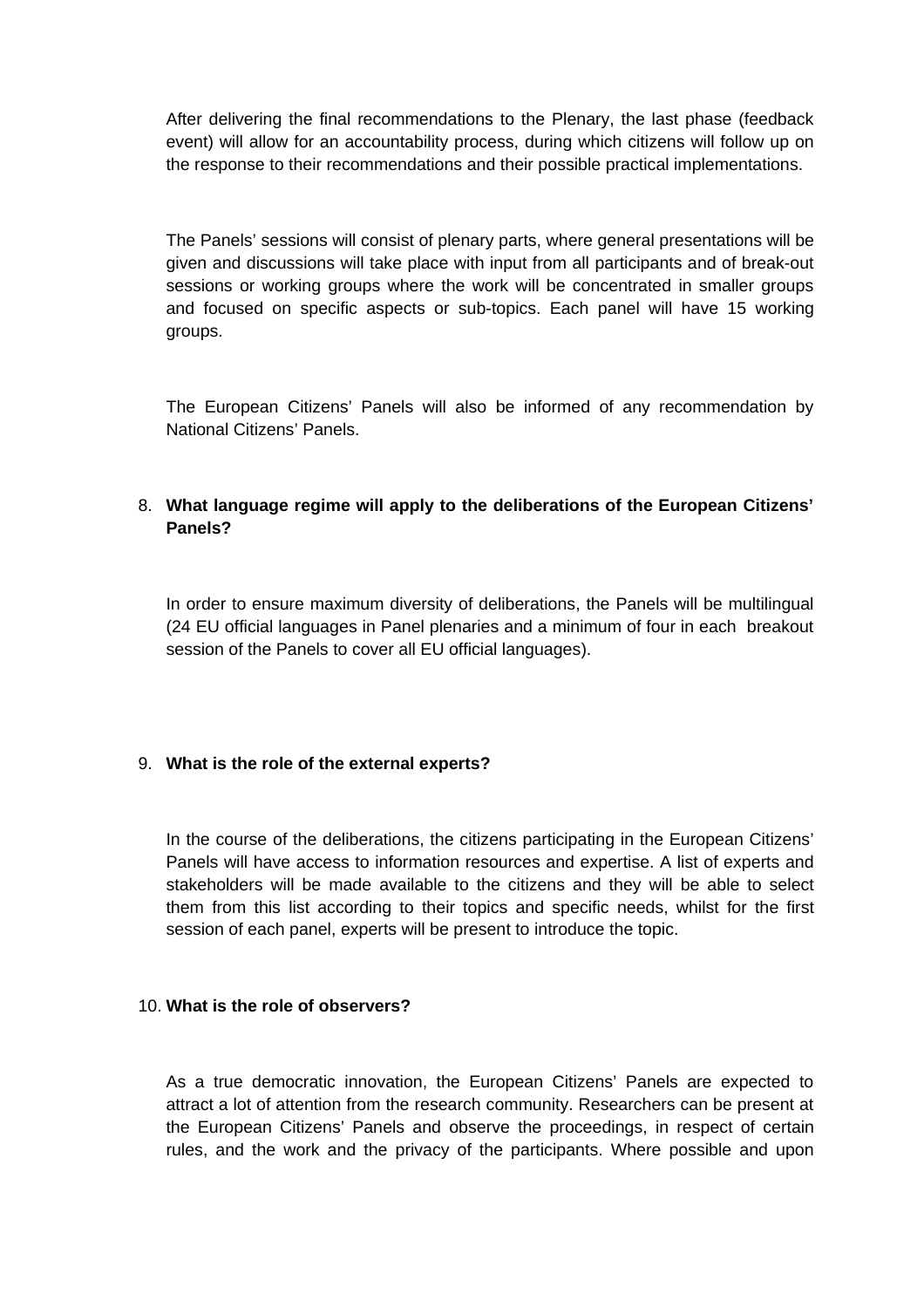After delivering the final recommendations to the Plenary, the last phase (feedback event) will allow for an accountability process, during which citizens will follow up on the response to their recommendations and their possible practical implementations.

The Panels' sessions will consist of plenary parts, where general presentations will be given and discussions will take place with input from all participants and of break-out sessions or working groups where the work will be concentrated in smaller groups and focused on specific aspects or sub-topics. Each panel will have 15 working groups.

The European Citizens' Panels will also be informed of any recommendation by National Citizens' Panels.

## 8. **What language regime will apply to the deliberations of the European Citizens' Panels?**

In order to ensure maximum diversity of deliberations, the Panels will be multilingual (24 EU official languages in Panel plenaries and a minimum of four in each breakout session of the Panels to cover all EU official languages).

### 9. **What is the role of the external experts?**

In the course of the deliberations, the citizens participating in the European Citizens' Panels will have access to information resources and expertise. A list of experts and stakeholders will be made available to the citizens and they will be able to select them from this list according to their topics and specific needs, whilst for the first session of each panel, experts will be present to introduce the topic.

#### 10. **What is the role of observers?**

As a true democratic innovation, the European Citizens' Panels are expected to attract a lot of attention from the research community. Researchers can be present at the European Citizens' Panels and observe the proceedings, in respect of certain rules, and the work and the privacy of the participants. Where possible and upon